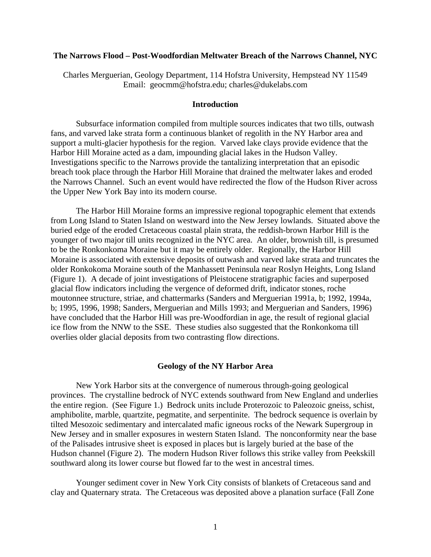## **The Narrows Flood – Post-Woodfordian Meltwater Breach of the Narrows Channel, NYC**

Charles Merguerian, Geology Department, 114 Hofstra University, Hempstead NY 11549 Email: geocmm@hofstra.edu; charles@dukelabs.com

# **Introduction**

 Subsurface information compiled from multiple sources indicates that two tills, outwash fans, and varved lake strata form a continuous blanket of regolith in the NY Harbor area and support a multi-glacier hypothesis for the region. Varved lake clays provide evidence that the Harbor Hill Moraine acted as a dam, impounding glacial lakes in the Hudson Valley. Investigations specific to the Narrows provide the tantalizing interpretation that an episodic breach took place through the Harbor Hill Moraine that drained the meltwater lakes and eroded the Narrows Channel. Such an event would have redirected the flow of the Hudson River across the Upper New York Bay into its modern course.

 The Harbor Hill Moraine forms an impressive regional topographic element that extends from Long Island to Staten Island on westward into the New Jersey lowlands. Situated above the buried edge of the eroded Cretaceous coastal plain strata, the reddish-brown Harbor Hill is the younger of two major till units recognized in the NYC area. An older, brownish till, is presumed to be the Ronkonkoma Moraine but it may be entirely older. Regionally, the Harbor Hill Moraine is associated with extensive deposits of outwash and varved lake strata and truncates the older Ronkokoma Moraine south of the Manhassett Peninsula near Roslyn Heights, Long Island (Figure 1). A decade of joint investigations of Pleistocene stratigraphic facies and superposed glacial flow indicators including the vergence of deformed drift, indicator stones, roche moutonnee structure, striae, and chattermarks (Sanders and Merguerian 1991a, b; 1992, 1994a, b; 1995, 1996, 1998; Sanders, Merguerian and Mills 1993; and Merguerian and Sanders, 1996) have concluded that the Harbor Hill was pre-Woodfordian in age, the result of regional glacial ice flow from the NNW to the SSE. These studies also suggested that the Ronkonkoma till overlies older glacial deposits from two contrasting flow directions.

### **Geology of the NY Harbor Area**

 New York Harbor sits at the convergence of numerous through-going geological provinces. The crystalline bedrock of NYC extends southward from New England and underlies the entire region. (See Figure 1.) Bedrock units include Proterozoic to Paleozoic gneiss, schist, amphibolite, marble, quartzite, pegmatite, and serpentinite. The bedrock sequence is overlain by tilted Mesozoic sedimentary and intercalated mafic igneous rocks of the Newark Supergroup in New Jersey and in smaller exposures in western Staten Island. The nonconformity near the base of the Palisades intrusive sheet is exposed in places but is largely buried at the base of the Hudson channel (Figure 2). The modern Hudson River follows this strike valley from Peekskill southward along its lower course but flowed far to the west in ancestral times.

 Younger sediment cover in New York City consists of blankets of Cretaceous sand and clay and Quaternary strata. The Cretaceous was deposited above a planation surface (Fall Zone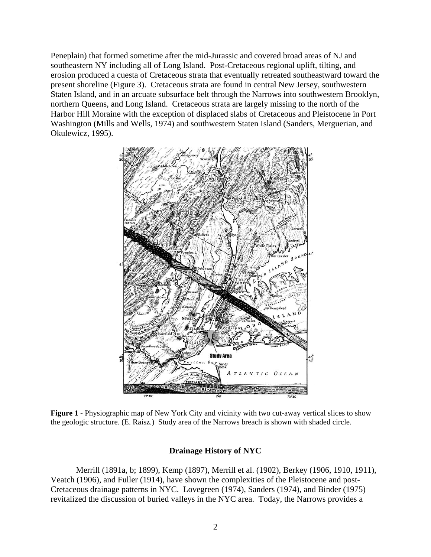Peneplain) that formed sometime after the mid-Jurassic and covered broad areas of NJ and southeastern NY including all of Long Island. Post-Cretaceous regional uplift, tilting, and erosion produced a cuesta of Cretaceous strata that eventually retreated southeastward toward the present shoreline (Figure 3). Cretaceous strata are found in central New Jersey, southwestern Staten Island, and in an arcuate subsurface belt through the Narrows into southwestern Brooklyn, northern Queens, and Long Island. Cretaceous strata are largely missing to the north of the Harbor Hill Moraine with the exception of displaced slabs of Cretaceous and Pleistocene in Port Washington (Mills and Wells, 1974) and southwestern Staten Island (Sanders, Merguerian, and Okulewicz, 1995).



**Figure 1** - Physiographic map of New York City and vicinity with two cut-away vertical slices to show the geologic structure. (E. Raisz.) Study area of the Narrows breach is shown with shaded circle.

# **Drainage History of NYC**

 Merrill (1891a, b; 1899), Kemp (1897), Merrill et al. (1902), Berkey (1906, 1910, 1911), Veatch (1906), and Fuller (1914), have shown the complexities of the Pleistocene and post-Cretaceous drainage patterns in NYC. Lovegreen (1974), Sanders (1974), and Binder (1975) revitalized the discussion of buried valleys in the NYC area. Today, the Narrows provides a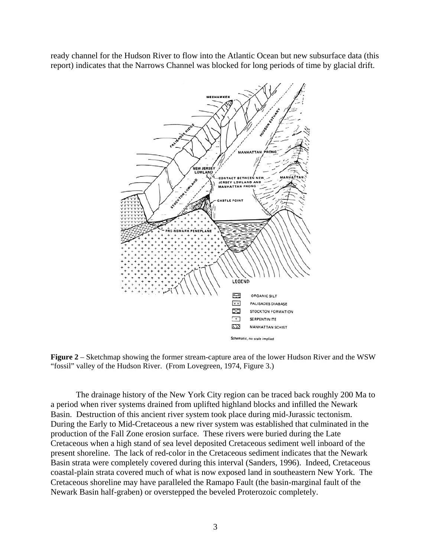ready channel for the Hudson River to flow into the Atlantic Ocean but new subsurface data (this report) indicates that the Narrows Channel was blocked for long periods of time by glacial drift.



**Figure 2** – Sketchmap showing the former stream-capture area of the lower Hudson River and the WSW "fossil" valley of the Hudson River. (From Lovegreen, 1974, Figure 3.)

The drainage history of the New York City region can be traced back roughly 200 Ma to a period when river systems drained from uplifted highland blocks and infilled the Newark Basin. Destruction of this ancient river system took place during mid-Jurassic tectonism. During the Early to Mid-Cretaceous a new river system was established that culminated in the production of the Fall Zone erosion surface. These rivers were buried during the Late Cretaceous when a high stand of sea level deposited Cretaceous sediment well inboard of the present shoreline. The lack of red-color in the Cretaceous sediment indicates that the Newark Basin strata were completely covered during this interval (Sanders, 1996). Indeed, Cretaceous coastal-plain strata covered much of what is now exposed land in southeastern New York. The Cretaceous shoreline may have paralleled the Ramapo Fault (the basin-marginal fault of the Newark Basin half-graben) or overstepped the beveled Proterozoic completely.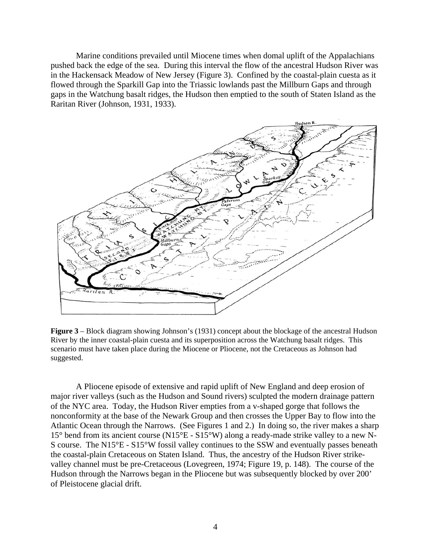Marine conditions prevailed until Miocene times when domal uplift of the Appalachians pushed back the edge of the sea. During this interval the flow of the ancestral Hudson River was in the Hackensack Meadow of New Jersey (Figure 3). Confined by the coastal-plain cuesta as it flowed through the Sparkill Gap into the Triassic lowlands past the Millburn Gaps and through gaps in the Watchung basalt ridges, the Hudson then emptied to the south of Staten Island as the Raritan River (Johnson, 1931, 1933).



**Figure 3** – Block diagram showing Johnson's (1931) concept about the blockage of the ancestral Hudson River by the inner coastal-plain cuesta and its superposition across the Watchung basalt ridges. This scenario must have taken place during the Miocene or Pliocene, not the Cretaceous as Johnson had suggested.

A Pliocene episode of extensive and rapid uplift of New England and deep erosion of major river valleys (such as the Hudson and Sound rivers) sculpted the modern drainage pattern of the NYC area. Today, the Hudson River empties from a v-shaped gorge that follows the nonconformity at the base of the Newark Group and then crosses the Upper Bay to flow into the Atlantic Ocean through the Narrows. (See Figures 1 and 2.) In doing so, the river makes a sharp 15° bend from its ancient course (N15°E - S15°W) along a ready-made strike valley to a new N-S course. The N15°E - S15°W fossil valley continues to the SSW and eventually passes beneath the coastal-plain Cretaceous on Staten Island. Thus, the ancestry of the Hudson River strikevalley channel must be pre-Cretaceous (Lovegreen, 1974; Figure 19, p. 148). The course of the Hudson through the Narrows began in the Pliocene but was subsequently blocked by over 200' of Pleistocene glacial drift.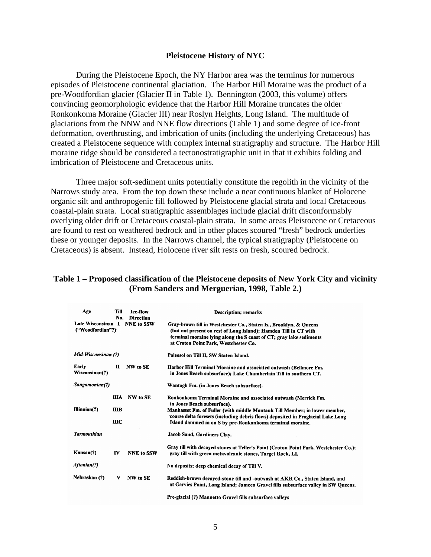## **Pleistocene History of NYC**

During the Pleistocene Epoch, the NY Harbor area was the terminus for numerous episodes of Pleistocene continental glaciation. The Harbor Hill Moraine was the product of a pre-Woodfordian glacier (Glacier II in Table 1). Bennington (2003, this volume) offers convincing geomorphologic evidence that the Harbor Hill Moraine truncates the older Ronkonkoma Moraine (Glacier III) near Roslyn Heights, Long Island. The multitude of glaciations from the NNW and NNE flow directions (Table 1) and some degree of ice-front deformation, overthrusting, and imbrication of units (including the underlying Cretaceous) has created a Pleistocene sequence with complex internal stratigraphy and structure. The Harbor Hill moraine ridge should be considered a tectonostratigraphic unit in that it exhibits folding and imbrication of Pleistocene and Cretaceous units.

Three major soft-sediment units potentially constitute the regolith in the vicinity of the Narrows study area. From the top down these include a near continuous blanket of Holocene organic silt and anthropogenic fill followed by Pleistocene glacial strata and local Cretaceous coastal-plain strata. Local stratigraphic assemblages include glacial drift disconformably overlying older drift or Cretaceous coastal-plain strata. In some areas Pleistocene or Cretaceous are found to rest on weathered bedrock and in other places scoured "fresh" bedrock underlies these or younger deposits. In the Narrows channel, the typical stratigraphy (Pleistocene on Cretaceous) is absent. Instead, Holocene river silt rests on fresh, scoured bedrock.

# **Table 1 – Proposed classification of the Pleistocene deposits of New York City and vicinity (From Sanders and Merguerian, 1998, Table 2.)**

| Age                                               | Till<br>No.       | Ice-flow<br><b>Direction</b> | <b>Description; remarks</b>                                                                                                                                                                                                                            |
|---------------------------------------------------|-------------------|------------------------------|--------------------------------------------------------------------------------------------------------------------------------------------------------------------------------------------------------------------------------------------------------|
| Late Wisconsinan I NNE to SSW<br>("Woodfordian"?) |                   |                              | Gray-brown till in Westchester Co., Staten Is., Brooklyn, & Oueens<br>(but not present on rest of Long Island); Hamden Till in CT with<br>terminal moraine lying along the S coast of CT; gray lake sediments<br>at Croton Point Park, Westchester Co. |
| Mid-Wisconsinan (?)                               |                   |                              | Paleosol on Till II, SW Staten Island.                                                                                                                                                                                                                 |
| Early<br>Wisconsinan(?)                           | п                 | NW to SE                     | Harbor Hill Terminal Moraine and associated outwash (Bellmore Fm.<br>in Jones Beach subsurface); Lake Chamberlain Till in southern CT.                                                                                                                 |
| Sangamonian(?)                                    |                   |                              | Wantagh Fm. (in Jones Beach subsurface).                                                                                                                                                                                                               |
| Illinoian(?)                                      | IIIA.             | NW to SE                     | Ronkonkoma Terminal Moraine and associated outwash (Merrick Fm.<br>in Jones Beach subsurface).                                                                                                                                                         |
|                                                   | <b>IIIB</b><br>ШC |                              | Manhasset Fm. of Fuller (with middle Montauk Till Member; in lower member,<br>coarse delta foresets (including debris flows) deposited in Proglacial Lake Long<br>Island dammed in on S by pre-Ronkonkoma terminal moraine.                            |
| <b>Yarmouthian</b>                                |                   |                              | Jacob Sand, Gardiners Clay.                                                                                                                                                                                                                            |
| Kansan(?)                                         | IV                | <b>NNE</b> to SSW            | Gray till with decayed stones at Teller's Point (Croton Point Park, Westchester Co.);<br>gray till with green metavolcanic stones, Target Rock, LI.                                                                                                    |
| Aftonian(?)                                       |                   |                              | No deposits; deep chemical decay of Till V.                                                                                                                                                                                                            |
| Nebraskan (?)                                     | V                 | NW to SE                     | Reddish-brown decayed-stone till and -outwash at AKR Co., Staten Island, and<br>at Garvies Point, Long Island; Jameco Gravel fills subsurface valley in SW Queens.                                                                                     |
|                                                   |                   |                              | Pre-glacial (?) Monnetto Croyel fills subsurface volleys                                                                                                                                                                                               |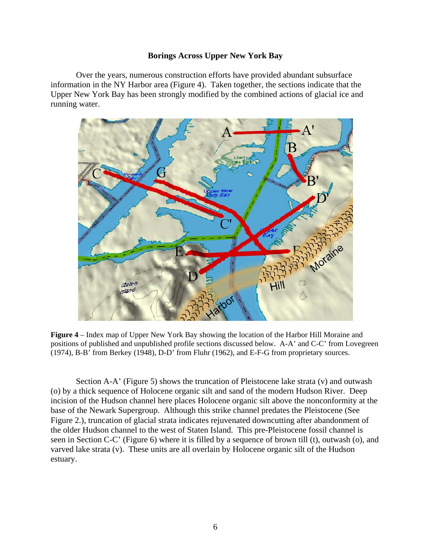## **Borings Across Upper New York Bay**

 Over the years, numerous construction efforts have provided abundant subsurface information in the NY Harbor area (Figure 4). Taken together, the sections indicate that the Upper New York Bay has been strongly modified by the combined actions of glacial ice and running water.



**Figure 4** – Index map of Upper New York Bay showing the location of the Harbor Hill Moraine and positions of published and unpublished profile sections discussed below. A-A' and C-C' from Lovegreen  $(1974)$ , B-B<sup> $\dot{\ }$ </sup> from Berkey (1948), D-D<sup> $\dot{\ }$ </sup> from Fluhr (1962), and E-F-G from proprietary sources.

Section A-A' (Figure 5) shows the truncation of Pleistocene lake strata (v) and outwash (o) by a thick sequence of Holocene organic silt and sand of the modern Hudson River. Deep incision of the Hudson channel here places Holocene organic silt above the nonconformity at the base of the Newark Supergroup. Although this strike channel predates the Pleistocene (See Figure 2.), truncation of glacial strata indicates rejuvenated downcutting after abandonment of the older Hudson channel to the west of Staten Island. This pre-Pleistocene fossil channel is seen in Section C-C' (Figure 6) where it is filled by a sequence of brown till (t), outwash (o), and varved lake strata (v). These units are all overlain by Holocene organic silt of the Hudson estuary.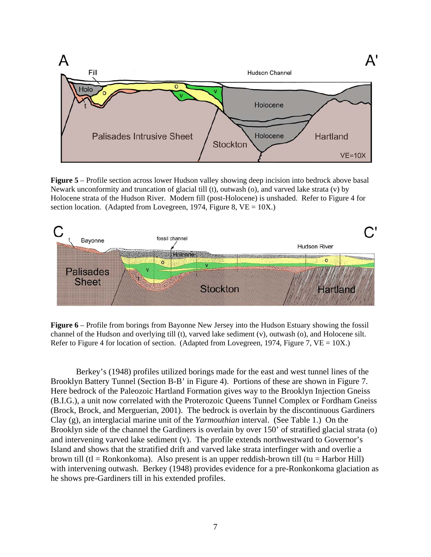

**Figure 5** – Profile section across lower Hudson valley showing deep incision into bedrock above basal Newark unconformity and truncation of glacial till (t), outwash (o), and varved lake strata (v) by Holocene strata of the Hudson River. Modern fill (post-Holocene) is unshaded. Refer to Figure 4 for section location. (Adapted from Lovegreen, 1974, Figure 8,  $VE = 10X$ .)



**Figure 6** – Profile from borings from Bayonne New Jersey into the Hudson Estuary showing the fossil channel of the Hudson and overlying till (t), varved lake sediment (v), outwash (o), and Holocene silt. Refer to Figure 4 for location of section. (Adapted from Lovegreen, 1974, Figure 7,  $VE = 10X$ .)

 Berkey's (1948) profiles utilized borings made for the east and west tunnel lines of the Brooklyn Battery Tunnel (Section B-B' in Figure 4). Portions of these are shown in Figure 7. Here bedrock of the Paleozoic Hartland Formation gives way to the Brooklyn Injection Gneiss (B.I.G.), a unit now correlated with the Proterozoic Queens Tunnel Complex or Fordham Gneiss (Brock, Brock, and Merguerian, 2001). The bedrock is overlain by the discontinuous Gardiners Clay (g), an interglacial marine unit of the *Yarmouthian* interval. (See Table 1.) On the Brooklyn side of the channel the Gardiners is overlain by over 150' of stratified glacial strata (o) and intervening varved lake sediment (v). The profile extends northwestward to Governor's Island and shows that the stratified drift and varved lake strata interfinger with and overlie a brown till (tl = Ronkonkoma). Also present is an upper reddish-brown till (tu = Harbor Hill) with intervening outwash. Berkey (1948) provides evidence for a pre-Ronkonkoma glaciation as he shows pre-Gardiners till in his extended profiles.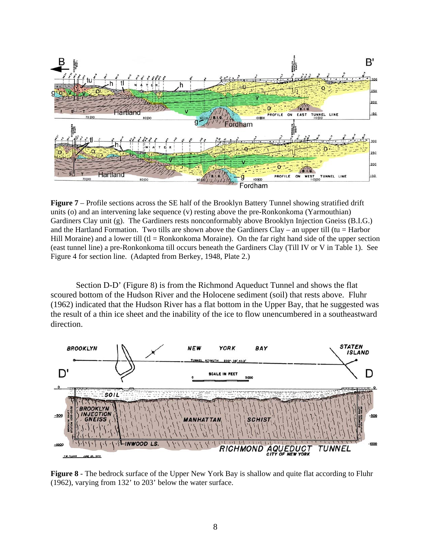

**Figure 7** – Profile sections across the SE half of the Brooklyn Battery Tunnel showing stratified drift units (o) and an intervening lake sequence (v) resting above the pre-Ronkonkoma (Yarmouthian) Gardiners Clay unit (g). The Gardiners rests nonconformably above Brooklyn Injection Gneiss (B.I.G.) and the Hartland Formation. Two tills are shown above the Gardiners Clay – an upper till (tu = Harbor Hill Moraine) and a lower till (tl = Ronkonkoma Moraine). On the far right hand side of the upper section (east tunnel line) a pre-Ronkonkoma till occurs beneath the Gardiners Clay (Till IV or V in Table 1). See Figure 4 for section line. (Adapted from Berkey, 1948, Plate 2.)

 Section D-D' (Figure 8) is from the Richmond Aqueduct Tunnel and shows the flat scoured bottom of the Hudson River and the Holocene sediment (soil) that rests above. Fluhr (1962) indicated that the Hudson River has a flat bottom in the Upper Bay, that he suggested was the result of a thin ice sheet and the inability of the ice to flow unencumbered in a southeastward direction.



**Figure 8** - The bedrock surface of the Upper New York Bay is shallow and quite flat according to Fluhr (1962), varying from 132' to 203' below the water surface.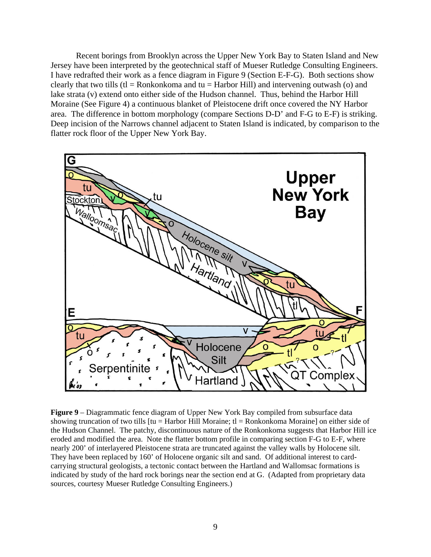Recent borings from Brooklyn across the Upper New York Bay to Staten Island and New Jersey have been interpreted by the geotechnical staff of Mueser Rutledge Consulting Engineers. I have redrafted their work as a fence diagram in Figure 9 (Section E-F-G). Both sections show clearly that two tills (tl = Ronkonkoma and tu = Harbor Hill) and intervening outwash (o) and lake strata (v) extend onto either side of the Hudson channel. Thus, behind the Harbor Hill Moraine (See Figure 4) a continuous blanket of Pleistocene drift once covered the NY Harbor area. The difference in bottom morphology (compare Sections D-D' and F-G to E-F) is striking. Deep incision of the Narrows channel adjacent to Staten Island is indicated, by comparison to the flatter rock floor of the Upper New York Bay.



**Figure 9** – Diagrammatic fence diagram of Upper New York Bay compiled from subsurface data showing truncation of two tills  $[tu = Harbor Hill Moraine; t] = Ronkonkoma Moraine]$  on either side of the Hudson Channel. The patchy, discontinuous nature of the Ronkonkoma suggests that Harbor Hill ice eroded and modified the area. Note the flatter bottom profile in comparing section F-G to E-F, where nearly 200' of interlayered Pleistocene strata are truncated against the valley walls by Holocene silt. They have been replaced by 160' of Holocene organic silt and sand. Of additional interest to cardcarrying structural geologists, a tectonic contact between the Hartland and Wallomsac formations is indicated by study of the hard rock borings near the section end at G. (Adapted from proprietary data sources, courtesy Mueser Rutledge Consulting Engineers.)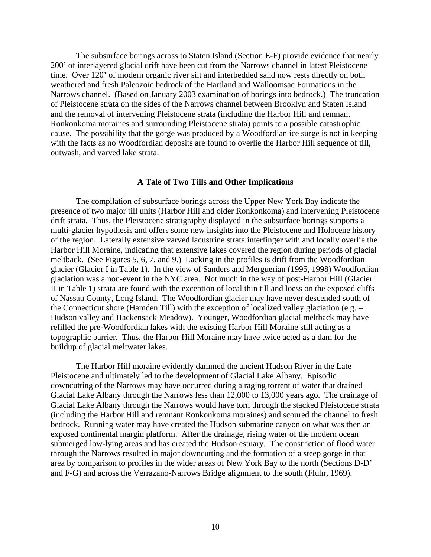The subsurface borings across to Staten Island (Section E-F) provide evidence that nearly 200' of interlayered glacial drift have been cut from the Narrows channel in latest Pleistocene time. Over 120' of modern organic river silt and interbedded sand now rests directly on both weathered and fresh Paleozoic bedrock of the Hartland and Walloomsac Formations in the Narrows channel. (Based on January 2003 examination of borings into bedrock.) The truncation of Pleistocene strata on the sides of the Narrows channel between Brooklyn and Staten Island and the removal of intervening Pleistocene strata (including the Harbor Hill and remnant Ronkonkoma moraines and surrounding Pleistocene strata) points to a possible catastrophic cause. The possibility that the gorge was produced by a Woodfordian ice surge is not in keeping with the facts as no Woodfordian deposits are found to overlie the Harbor Hill sequence of till, outwash, and varved lake strata.

### **A Tale of Two Tills and Other Implications**

The compilation of subsurface borings across the Upper New York Bay indicate the presence of two major till units (Harbor Hill and older Ronkonkoma) and intervening Pleistocene drift strata. Thus, the Pleistocene stratigraphy displayed in the subsurface borings supports a multi-glacier hypothesis and offers some new insights into the Pleistocene and Holocene history of the region. Laterally extensive varved lacustrine strata interfinger with and locally overlie the Harbor Hill Moraine, indicating that extensive lakes covered the region during periods of glacial meltback. (See Figures 5, 6, 7, and 9.) Lacking in the profiles is drift from the Woodfordian glacier (Glacier I in Table 1). In the view of Sanders and Merguerian (1995, 1998) Woodfordian glaciation was a non-event in the NYC area. Not much in the way of post-Harbor Hill (Glacier II in Table 1) strata are found with the exception of local thin till and loess on the exposed cliffs of Nassau County, Long Island. The Woodfordian glacier may have never descended south of the Connecticut shore (Hamden Till) with the exception of localized valley glaciation (e.g. – Hudson valley and Hackensack Meadow). Younger, Woodfordian glacial meltback may have refilled the pre-Woodfordian lakes with the existing Harbor Hill Moraine still acting as a topographic barrier. Thus, the Harbor Hill Moraine may have twice acted as a dam for the buildup of glacial meltwater lakes.

The Harbor Hill moraine evidently dammed the ancient Hudson River in the Late Pleistocene and ultimately led to the development of Glacial Lake Albany. Episodic downcutting of the Narrows may have occurred during a raging torrent of water that drained Glacial Lake Albany through the Narrows less than 12,000 to 13,000 years ago. The drainage of Glacial Lake Albany through the Narrows would have torn through the stacked Pleistocene strata (including the Harbor Hill and remnant Ronkonkoma moraines) and scoured the channel to fresh bedrock. Running water may have created the Hudson submarine canyon on what was then an exposed continental margin platform. After the drainage, rising water of the modern ocean submerged low-lying areas and has created the Hudson estuary. The constriction of flood water through the Narrows resulted in major downcutting and the formation of a steep gorge in that area by comparison to profiles in the wider areas of New York Bay to the north (Sections D-D' and F-G) and across the Verrazano-Narrows Bridge alignment to the south (Fluhr, 1969).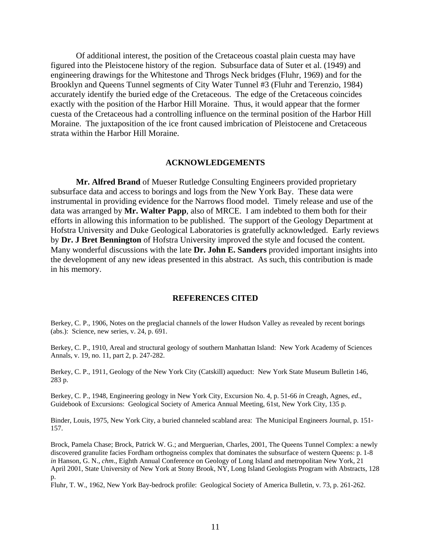Of additional interest, the position of the Cretaceous coastal plain cuesta may have figured into the Pleistocene history of the region. Subsurface data of Suter et al. (1949) and engineering drawings for the Whitestone and Throgs Neck bridges (Fluhr, 1969) and for the Brooklyn and Queens Tunnel segments of City Water Tunnel #3 (Fluhr and Terenzio, 1984) accurately identify the buried edge of the Cretaceous. The edge of the Cretaceous coincides exactly with the position of the Harbor Hill Moraine. Thus, it would appear that the former cuesta of the Cretaceous had a controlling influence on the terminal position of the Harbor Hill Moraine. The juxtaposition of the ice front caused imbrication of Pleistocene and Cretaceous strata within the Harbor Hill Moraine.

### **ACKNOWLEDGEMENTS**

**Mr. Alfred Brand** of Mueser Rutledge Consulting Engineers provided proprietary subsurface data and access to borings and logs from the New York Bay. These data were instrumental in providing evidence for the Narrows flood model. Timely release and use of the data was arranged by **Mr. Walter Papp**, also of MRCE. I am indebted to them both for their efforts in allowing this information to be published. The support of the Geology Department at Hofstra University and Duke Geological Laboratories is gratefully acknowledged. Early reviews by **Dr. J Bret Bennington** of Hofstra University improved the style and focused the content. Many wonderful discussions with the late **Dr. John E. Sanders** provided important insights into the development of any new ideas presented in this abstract. As such, this contribution is made in his memory.

#### **REFERENCES CITED**

Berkey, C. P., 1906, Notes on the preglacial channels of the lower Hudson Valley as revealed by recent borings (abs.): Science, new series, v. 24, p. 691.

Berkey, C. P., 1910, Areal and structural geology of southern Manhattan Island: New York Academy of Sciences Annals, v. 19, no. 11, part 2, p. 247-282.

Berkey, C. P., 1911, Geology of the New York City (Catskill) aqueduct: New York State Museum Bulletin 146, 283 p.

Berkey, C. P., 1948, Engineering geology in New York City, Excursion No. 4, p. 51-66 *in* Creagh, Agnes, *ed*., Guidebook of Excursions: Geological Society of America Annual Meeting, 61st, New York City, 135 p.

Binder, Louis, 1975, New York City, a buried channeled scabland area: The Municipal Engineers Journal, p. 151- 157.

Brock, Pamela Chase; Brock, Patrick W. G.; and Merguerian, Charles, 2001, The Queens Tunnel Complex: a newly discovered granulite facies Fordham orthogneiss complex that dominates the subsurface of western Queens: p. 1-8 *in* Hanson, G. N., *chm*., Eighth Annual Conference on Geology of Long Island and metropolitan New York, 21 April 2001, State University of New York at Stony Brook, NY, Long Island Geologists Program with Abstracts, 128 p.

Fluhr, T. W., 1962, New York Bay-bedrock profile: Geological Society of America Bulletin, v. 73, p. 261-262.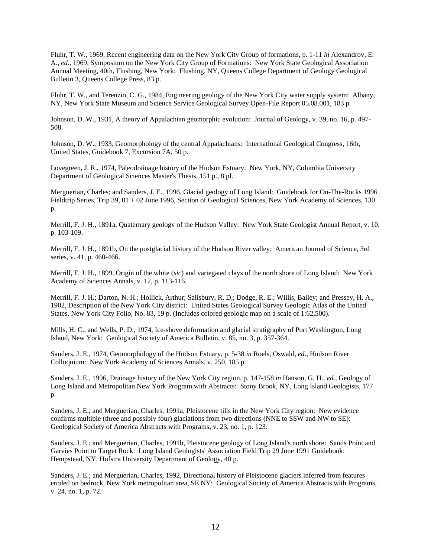Fluhr, T. W., 1969, Recent engineering data on the New York City Group of formations, p. 1-11 *in* Alexandrov, E. A., *ed*., 1969, Symposium on the New York City Group of Formations: New York State Geological Association Annual Meeting, 40th, Flushing, New York: Flushing, NY, Queens College Department of Geology Geological Bulletin 3, Queens College Press, 83 p.

Fluhr, T. W., and Terenzio, C. G., 1984, Engineering geology of the New York City water supply system: Albany, NY, New York State Museum and Science Service Geological Survey Open-File Report 05.08.001, 183 p.

Johnson, D. W., 1931, A theory of Appalachian geomorphic evolution: Journal of Geology, v. 39, no. 16, p. 497- 508.

Johnson, D. W., 1933, Geomorphology of the central Appalachians: International Geological Congress, 16th, United States, Guidebook 7, Excursion 7A, 50 p.

Lovegreen, J. R., 1974, Paleodrainage history of the Hudson Estuary: New York, NY, Columbia University Department of Geological Sciences Master's Thesis, 151 p., 8 pl.

Merguerian, Charles; and Sanders, J. E., 1996, Glacial geology of Long Island: Guidebook for On-The-Rocks 1996 Fieldtrip Series, Trip 39, 01 + 02 June 1996, Section of Geological Sciences, New York Academy of Sciences, 130 p.

Merrill, F. J. H., 1891a, Quaternary geology of the Hudson Valley: New York State Geologist Annual Report, v. 10, p. 103-109.

Merrill, F. J. H., 1891b, On the postglacial history of the Hudson River valley: American Journal of Science, 3rd series, v. 41, p. 460-466.

Merrill, F. J. H., 1899, Origin of the white (*sic*) and variegated clays of the north shore of Long Island: New York Academy of Sciences Annals, v. 12, p. 113-116.

Merrill, F. J. H.; Darton, N. H.; Hollick, Arthur; Salisbury, R. D.; Dodge, R. E.; Willis, Bailey; and Pressey, H. A., 1902, Description of the New York City district: United States Geological Survey Geologic Atlas of the United States, New York City Folio, No. 83, 19 p. (Includes colored geologic map on a scale of 1:62,500).

Mills, H. C., and Wells, P. D., 1974, Ice-shove deformation and glacial stratigraphy of Port Washington, Long Island, New York: Geological Society of America Bulletin, v. 85, no. 3, p. 357-364.

Sanders, J. E., 1974, Geomorphology of the Hudson Estuary, p. 5-38 *in* Roels, Oswald, *ed*., Hudson River Colloquium: New York Academy of Sciences Annals, v. 250, 185 p.

Sanders, J. E., 1996, Drainage history of the New York City region, p. 147-158 *in* Hanson, G. H., *ed*., Geology of Long Island and Metropolitan New York Program with Abstracts: Stony Brook, NY, Long Island Geologists, 177 p.

Sanders, J. E.; and Merguerian, Charles, 1991a, Pleistocene tills in the New York City region: New evidence confirms multiple (three and possibly four) glaciations from two directions (NNE to SSW and NW to SE): Geological Society of America Abstracts with Programs, v. 23, no. 1, p. 123.

Sanders, J. E.; and Merguerian, Charles, 1991b, Pleistocene geology of Long Island's north shore: Sands Point and Garvies Point to Target Rock: Long Island Geologists' Association Field Trip 29 June 1991 Guidebook: Hempstead, NY, Hofstra University Department of Geology, 40 p.

Sanders, J. E.; and Merguerian, Charles, 1992, Directional history of Pleistocene glaciers inferred from features eroded on bedrock, New York metropolitan area, SE NY: Geological Society of America Abstracts with Programs, v. 24, no. 1, p. 72.